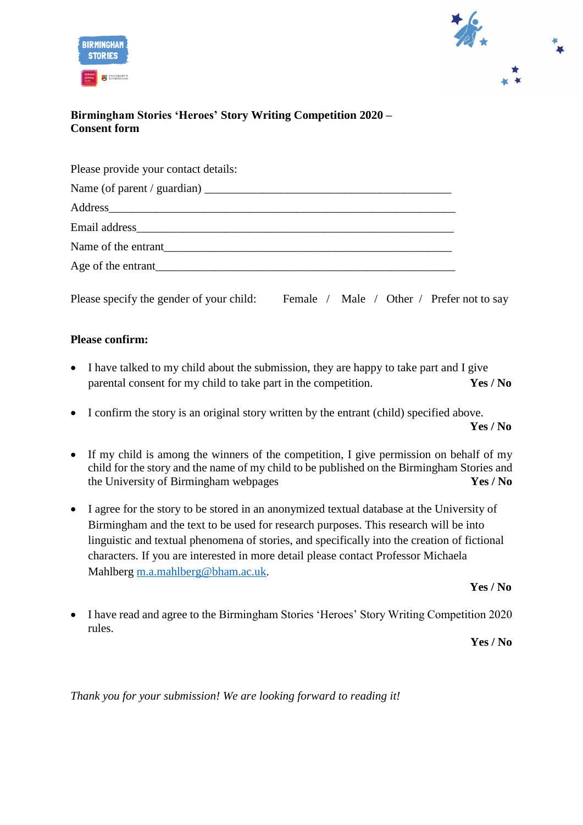



## **Birmingham Stories 'Heroes' Story Writing Competition 2020 – Consent form**

| Please provide your contact details:                                                                                                                                                                                           |  |
|--------------------------------------------------------------------------------------------------------------------------------------------------------------------------------------------------------------------------------|--|
|                                                                                                                                                                                                                                |  |
| Address and the state of the state of the state of the state of the state of the state of the state of the state of the state of the state of the state of the state of the state of the state of the state of the state of th |  |
|                                                                                                                                                                                                                                |  |
| Name of the entrant                                                                                                                                                                                                            |  |
| Age of the entrant                                                                                                                                                                                                             |  |
|                                                                                                                                                                                                                                |  |

Please specify the gender of your child: Female / Male / Other / Prefer not to say

## **Please confirm:**

- I have talked to my child about the submission, they are happy to take part and I give parental consent for my child to take part in the competition. **Yes / No**
- I confirm the story is an original story written by the entrant (child) specified above. **Yes / No**
- If my child is among the winners of the competition, I give permission on behalf of my child for the story and the name of my child to be published on the Birmingham Stories and the University of Birmingham webpages **Yes / No**
- I agree for the story to be stored in an anonymized textual database at the University of Birmingham and the text to be used for research purposes. This research will be into linguistic and textual phenomena of stories, and specifically into the creation of fictional characters. If you are interested in more detail please contact Professor Michaela Mahlberg [m.a.mahlberg@bham.ac.uk.](mailto:m.a.mahlberg@bham.ac.uk)

**Yes / No**

• I have read and agree to the Birmingham Stories 'Heroes' Story Writing Competition 2020 rules.

**Yes / No**

*Thank you for your submission! We are looking forward to reading it!*